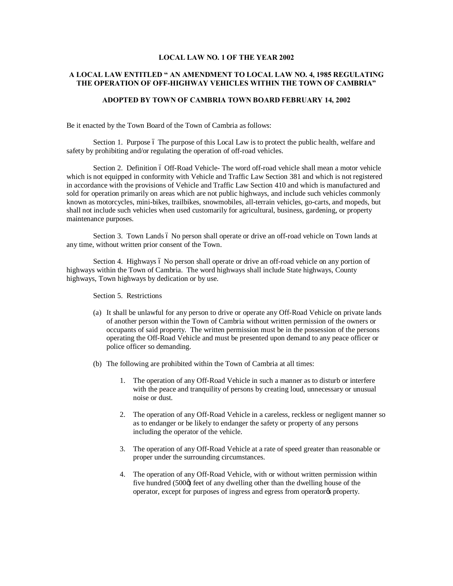## **LOCAL LAW NO. 1 OF THE YEAR 2002**

## **A LOCAL LAW ENTITLED " AN AMENDMENT TO LOCAL LAW NO. 4, 1985 REGULATING THE OPERATION OF OFF-HIGHWAY VEHICLES WITHIN THE TOWN OF CAMBRIA"**

## **ADOPTED BY TOWN OF CAMBRIA TOWN BOARD FEBRUARY 14, 2002**

Be it enacted by the Town Board of the Town of Cambria as follows:

Section 1. Purpose 6 The purpose of this Local Law is to protect the public health, welfare and safety by prohibiting and/or regulating the operation of off-road vehicles.

Section 2. Definition 6 Off-Road Vehicle- The word off-road vehicle shall mean a motor vehicle which is not equipped in conformity with Vehicle and Traffic Law Section 381 and which is not registered in accordance with the provisions of Vehicle and Traffic Law Section 410 and which is manufactured and sold for operation primarily on areas which are not public highways, and include such vehicles commonly known as motorcycles, mini-bikes, trailbikes, snowmobiles, all-terrain vehicles, go-carts, and mopeds, but shall not include such vehicles when used customarily for agricultural, business, gardening, or property maintenance purposes.

Section 3. Town Lands 6 No person shall operate or drive an off-road vehicle on Town lands at any time, without written prior consent of the Town.

Section 4. Highways 6 No person shall operate or drive an off-road vehicle on any portion of highways within the Town of Cambria. The word highways shall include State highways, County highways, Town highways by dedication or by use.

Section 5. Restrictions

- (a) It shall be unlawful for any person to drive or operate any Off-Road Vehicle on private lands of another person within the Town of Cambria without written permission of the owners or occupants of said property. The written permission must be in the possession of the persons operating the Off-Road Vehicle and must be presented upon demand to any peace officer or police officer so demanding.
- (b) The following are prohibited within the Town of Cambria at all times:
	- 1. The operation of any Off-Road Vehicle in such a manner as to disturb or interfere with the peace and tranquility of persons by creating loud, unnecessary or unusual noise or dust.
	- 2. The operation of any Off-Road Vehicle in a careless, reckless or negligent manner so as to endanger or be likely to endanger the safety or property of any persons including the operator of the vehicle.
	- 3. The operation of any Off-Road Vehicle at a rate of speed greater than reasonable or proper under the surrounding circumstances.
	- 4. The operation of any Off-Road Vehicle, with or without written permission within five hundred  $(500\phi)$  feet of any dwelling other than the dwelling house of the operator, except for purposes of ingress and egress from operator% property.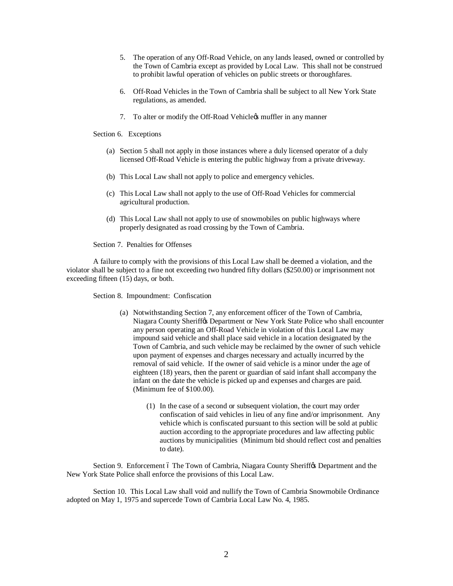- 5. The operation of any Off-Road Vehicle, on any lands leased, owned or controlled by the Town of Cambria except as provided by Local Law. This shall not be construed to prohibit lawful operation of vehicles on public streets or thoroughfares.
- 6. Off-Road Vehicles in the Town of Cambria shall be subject to all New York State regulations, as amended.
- 7. To alter or modify the Off-Road Vehicle is muffler in any manner

Section 6. Exceptions

- (a) Section 5 shall not apply in those instances where a duly licensed operator of a duly licensed Off-Road Vehicle is entering the public highway from a private driveway.
- (b) This Local Law shall not apply to police and emergency vehicles.
- (c) This Local Law shall not apply to the use of Off-Road Vehicles for commercial agricultural production.
- (d) This Local Law shall not apply to use of snowmobiles on public highways where properly designated as road crossing by the Town of Cambria.

Section 7. Penalties for Offenses

A failure to comply with the provisions of this Local Law shall be deemed a violation, and the violator shall be subject to a fine not exceeding two hundred fifty dollars (\$250.00) or imprisonment not exceeding fifteen (15) days, or both.

Section 8. Impoundment: Confiscation

- (a) Notwithstanding Section 7, any enforcement officer of the Town of Cambria, Niagara County Sheriffos Department or New York State Police who shall encounter any person operating an Off-Road Vehicle in violation of this Local Law may impound said vehicle and shall place said vehicle in a location designated by the Town of Cambria, and such vehicle may be reclaimed by the owner of such vehicle upon payment of expenses and charges necessary and actually incurred by the removal of said vehicle. If the owner of said vehicle is a minor under the age of eighteen (18) years, then the parent or guardian of said infant shall accompany the infant on the date the vehicle is picked up and expenses and charges are paid. (Minimum fee of \$100.00).
	- (1) In the case of a second or subsequent violation, the court may order confiscation of said vehicles in lieu of any fine and/or imprisonment. Any vehicle which is confiscated pursuant to this section will be sold at public auction according to the appropriate procedures and law affecting public auctions by municipalities (Minimum bid should reflect cost and penalties to date).

Section 9. Enforcement 6 The Town of Cambria, Niagara County Sheriff & Department and the New York State Police shall enforce the provisions of this Local Law.

Section 10. This Local Law shall void and nullify the Town of Cambria Snowmobile Ordinance adopted on May 1, 1975 and supercede Town of Cambria Local Law No. 4, 1985.